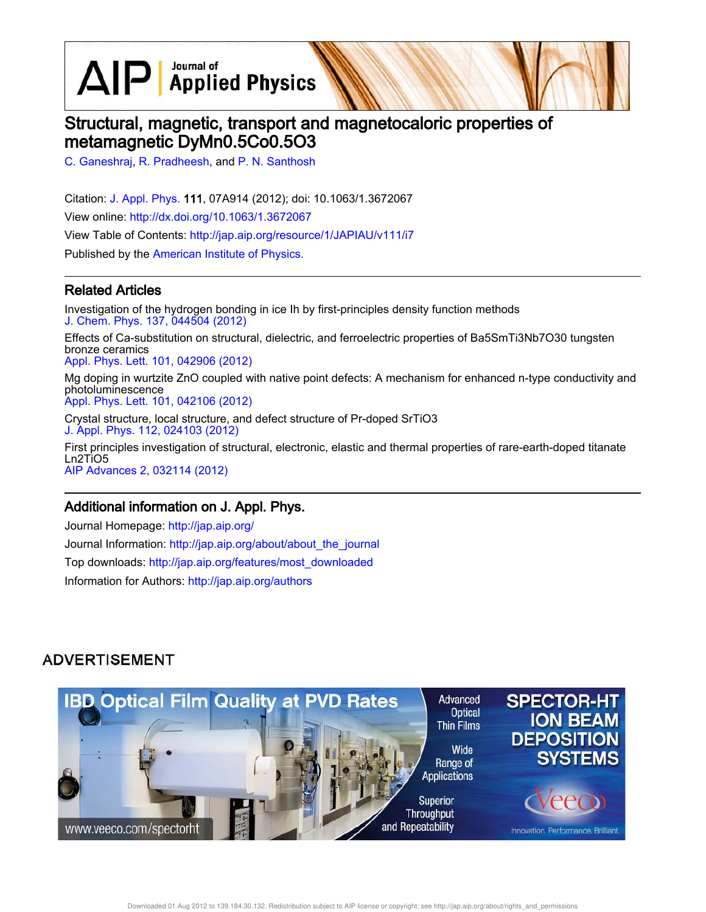$\text{AlP}$  Applied Physics

# Structural, magnetic, transport and magnetocaloric properties of metamagnetic DyMn0.5Co0.5O3

C. Ganeshraj, R. Pradheesh, and P. N. Santhosh

Citation: J. Appl. Phys. 111, 07A914 (2012); doi: 10.1063/1.3672067 View online: http://dx.doi.org/10.1063/1.3672067 View Table of Contents: http://jap.aip.org/resource/1/JAPIAU/v111/i7 Published by the American Institute of Physics.

### Related Articles

Investigation of the hydrogen bonding in ice Ih by first-principles density function methods J. Chem. Phys. 137, 044504 (2012)

Effects of Ca-substitution on structural, dielectric, and ferroelectric properties of Ba5SmTi3Nb7O30 tungsten bronze ceramics Appl. Phys. Lett. 101, 042906 (2012)

Mg doping in wurtzite ZnO coupled with native point defects: A mechanism for enhanced n-type conductivity and photoluminescence Appl. Phys. Lett. 101, 042106 (2012)

Crystal structure, local structure, and defect structure of Pr-doped SrTiO3 J. Appl. Phys. 112, 024103 (2012)

First principles investigation of structural, electronic, elastic and thermal properties of rare-earth-doped titanate Ln2TiO5 AIP Advances 2, 032114 (2012)

### Additional information on J. Appl. Phys.

Journal Homepage: http://jap.aip.org/ Journal Information: http://jap.aip.org/about/about\_the\_journal Top downloads: http://jap.aip.org/features/most\_downloaded Information for Authors: http://jap.aip.org/authors

# **ADVERTISEMENT**



Downloaded 01 Aug 2012 to 139.184.30.132. Redistribution subject to AIP license or copyright; see http://jap.aip.org/about/rights\_and\_permissions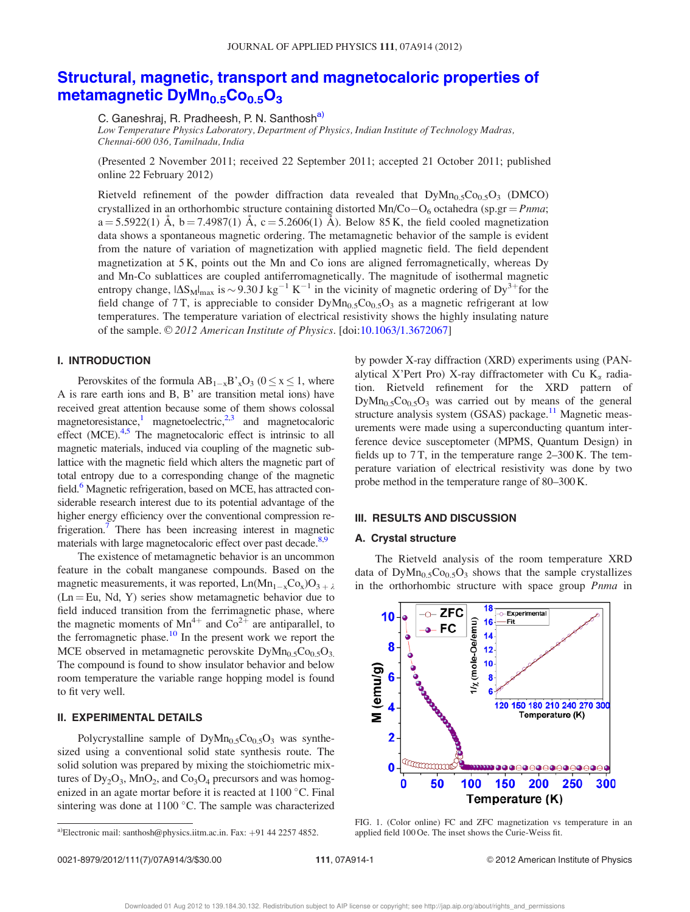## Structural, magnetic, transport and magnetocaloric properties of metamagnetic  $DyMn_{0.5}Co_{0.5}O_3$

C. Ganeshraj, R. Pradheesh, P. N. Santhosh<sup>a)</sup>

Low Temperature Physics Laboratory, Department of Physics, Indian Institute of Technology Madras, Chennai-600 036, Tamilnadu, India

(Presented 2 November 2011; received 22 September 2011; accepted 21 October 2011; published online 22 February 2012)

Rietveld refinement of the powder diffraction data revealed that  $DyMn_{0.5}Co_{0.5}O_3$  (DMCO) crystallized in an orthorhombic structure containing distorted  $Mn/Co-O_6$  octahedra (sp.gr = Pnma;  $a = 5.5922(1)$   $\AA$ ,  $b = 7.4987(1)$   $\AA$ ,  $c = 5.2606(1)$   $\AA$ ). Below 85 K, the field cooled magnetization data shows a spontaneous magnetic ordering. The metamagnetic behavior of the sample is evident from the nature of variation of magnetization with applied magnetic field. The field dependent magnetization at 5 K, points out the Mn and Co ions are aligned ferromagnetically, whereas Dy and Mn-Co sublattices are coupled antiferromagnetically. The magnitude of isothermal magnetic entropy change,  $|\Delta S_M|_{max}$  is  $\sim 9.30$  J kg<sup>-1</sup> K<sup>-1</sup> in the vicinity of magnetic ordering of Dy<sup>3+</sup>for the field change of 7T, is appreciable to consider  $DyMn<sub>0.5</sub>Co<sub>0.5</sub>O<sub>3</sub>$  as a magnetic refrigerant at low temperatures. The temperature variation of electrical resistivity shows the highly insulating nature of the sample. © 2012 American Institute of Physics. [doi:10.1063/1.3672067]

#### I. INTRODUCTION

Perovskites of the formula  $AB_{1-x}B'_{x}O_{3}$  ( $0 \le x \le 1$ , where A is rare earth ions and B, B' are transition metal ions) have received great attention because some of them shows colossal magnetoresistance,<sup>1</sup> magnetoelectric,<sup>2,3</sup> and magnetocaloric effect (MCE).<sup>4,5</sup> The magnetocaloric effect is intrinsic to all magnetic materials, induced via coupling of the magnetic sublattice with the magnetic field which alters the magnetic part of total entropy due to a corresponding change of the magnetic field.<sup>6</sup> Magnetic refrigeration, based on MCE, has attracted considerable research interest due to its potential advantage of the higher energy efficiency over the conventional compression refrigeration.<sup>7</sup> There has been increasing interest in magnetic materials with large magnetocaloric effect over past decade.<sup>8,9</sup>

The existence of metamagnetic behavior is an uncommon feature in the cobalt manganese compounds. Based on the magnetic measurements, it was reported,  $Ln(Mn_{1-x}Co_x)O_{3+x}$  $(Ln = Eu, Nd, Y)$  series show metamagnetic behavior due to field induced transition from the ferrimagnetic phase, where the magnetic moments of  $Mn^{4+}$  and  $Co^{2+}$  are antiparallel, to the ferromagnetic phase.<sup>10</sup> In the present work we report the MCE observed in metamagnetic perovskite  $DyMn_{0.5}Co_{0.5}O_3$ . The compound is found to show insulator behavior and below room temperature the variable range hopping model is found to fit very well.

#### II. EXPERIMENTAL DETAILS

Polycrystalline sample of  $DyMn_{0.5}Co_{0.5}O_3$  was synthesized using a conventional solid state synthesis route. The solid solution was prepared by mixing the stoichiometric mixtures of  $Dy_2O_3$ , MnO<sub>2</sub>, and Co<sub>3</sub>O<sub>4</sub> precursors and was homogenized in an agate mortar before it is reacted at  $1100^{\circ}$ C. Final sintering was done at  $1100$  °C. The sample was characterized by powder X-ray diffraction (XRD) experiments using (PANalytical X'Pert Pro) X-ray diffractometer with Cu  $K_{\alpha}$  radiation. Rietveld refinement for the XRD pattern of  $DyMn_0$ <sub>5</sub>Co<sub>0.5</sub>O<sub>3</sub> was carried out by means of the general structure analysis system  $(GSAS)$  package.<sup>11</sup> Magnetic measurements were made using a superconducting quantum interference device susceptometer (MPMS, Quantum Design) in fields up to  $7T$ , in the temperature range  $2-300$  K. The temperature variation of electrical resistivity was done by two probe method in the temperature range of 80–300 K.

#### III. RESULTS AND DISCUSSION

#### A. Crystal structure

The Rietveld analysis of the room temperature XRD data of  $DyMn<sub>0.5</sub>Co<sub>0.5</sub>O<sub>3</sub>$  shows that the sample crystallizes in the orthorhombic structure with space group Pnma in



FIG. 1. (Color online) FC and ZFC magnetization vs temperature in an

a)Electronic mail: santhosh@physics.iitm.ac.in. Fax: +91 44 2257 4852. applied field 100 Oe. The inset shows the Curie-Weiss fit.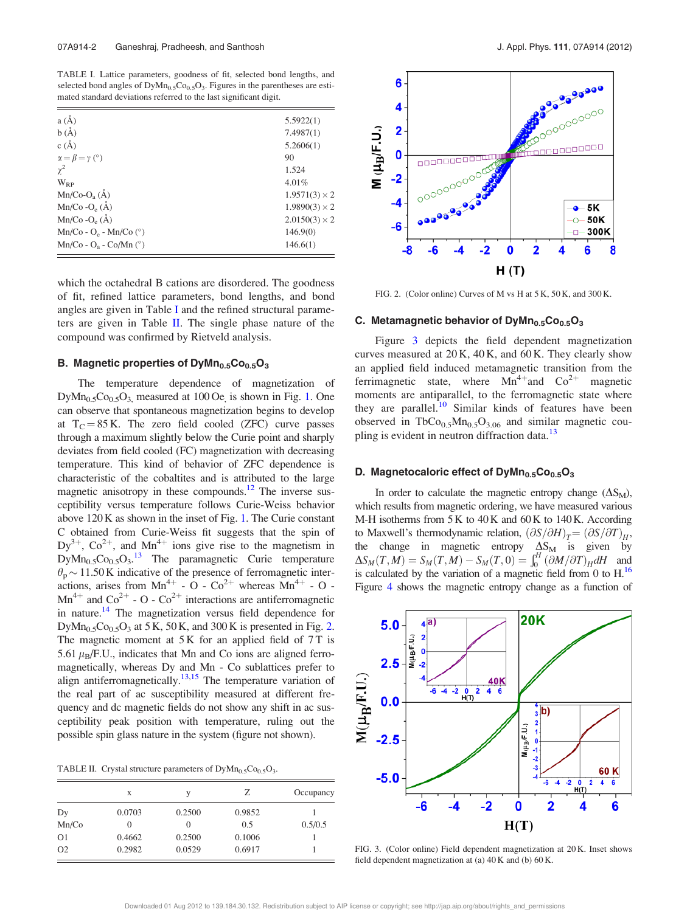TABLE I. Lattice parameters, goodness of fit, selected bond lengths, and selected bond angles of  $DyMn_{0.5}Co_{0.5}O_3$ . Figures in the parentheses are estimated standard deviations referred to the last significant digit.

| $a(\AA)$                      | 5.5922(1)            |
|-------------------------------|----------------------|
| b(A)                          | 7.4987(1)            |
| c(A)                          | 5.2606(1)            |
| $\alpha = \beta = \gamma$ (°) | 90                   |
| $\chi^2$                      | 1.524                |
| $W_{RP}$                      | 4.01%                |
| $Mn/Co-Oa(A)$                 | $1.9571(3) \times 2$ |
| $Mn/Co-Oe(A)$                 | $1.9890(3) \times 2$ |
| $Mn/Co-Oe(\AA)$               | $2.0150(3) \times 2$ |
| $Mn/Co - O_e - Mn/Co$ (°)     | 146.9(0)             |
| $Mn/Co - O9 - Co/Mn (°)$      | 146.6(1)             |

which the octahedral B cations are disordered. The goodness of fit, refined lattice parameters, bond lengths, and bond angles are given in Table I and the refined structural parameters are given in Table  $II$ . The single phase nature of the compound was confirmed by Rietveld analysis.

#### B. Magnetic properties of  $DyMn_{0.5}Co_{0.5}O_3$

The temperature dependence of magnetization of  $DyMn_{0.5}Co_{0.5}O_3$ , measured at 100 Oe, is shown in Fig. 1. One can observe that spontaneous magnetization begins to develop at  $T_c = 85$  K. The zero field cooled (ZFC) curve passes through a maximum slightly below the Curie point and sharply deviates from field cooled (FC) magnetization with decreasing temperature. This kind of behavior of ZFC dependence is characteristic of the cobaltites and is attributed to the large magnetic anisotropy in these compounds.<sup>12</sup> The inverse susceptibility versus temperature follows Curie-Weiss behavior above 120 K as shown in the inset of Fig. 1. The Curie constant C obtained from Curie-Weiss fit suggests that the spin of  $Dy^{3+}$ ,  $Co^{2+}$ , and  $Mn^{4+}$  ions give rise to the magnetism in  $DyMn_{0.5}Co_{0.5}O_3$ .<sup>13</sup> The paramagnetic Curie temperature  $\theta_p \sim 11.50 \text{ K}$  indicative of the presence of ferromagnetic interactions, arises from  $Mn^{4+}$  - O -  $Co^{2+}$  whereas  $Mn^{4+}$  - O - $Mn^{4+}$  and  $Co^{2+}$  - O -  $Co^{2+}$  interactions are antiferromagnetic in nature.<sup>14</sup> The magnetization versus field dependence for DyMn<sub>0.5</sub>Co<sub>0.5</sub>O<sub>3</sub> at 5 K, 50 K, and 300 K is presented in Fig. 2. The magnetic moment at  $5K$  for an applied field of  $7T$  is 5.61  $\mu_B$ /F.U., indicates that Mn and Co ions are aligned ferromagnetically, whereas Dy and Mn - Co sublattices prefer to align antiferromagnetically.<sup>13,15</sup> The temperature variation of the real part of ac susceptibility measured at different frequency and dc magnetic fields do not show any shift in ac susceptibility peak position with temperature, ruling out the possible spin glass nature in the system (figure not shown).

TABLE II. Crystal structure parameters of  $DyMn_{0.5}Co_{0.5}O_3$ .

|                | X      | v        | Z      | Occupancy |
|----------------|--------|----------|--------|-----------|
| Dy             | 0.0703 | 0.2500   | 0.9852 |           |
| Mn/Co          |        | $\theta$ | 0.5    | 0.5/0.5   |
| O <sub>1</sub> | 0.4662 | 0.2500   | 0.1006 |           |
| O <sub>2</sub> | 0.2982 | 0.0529   | 0.6917 |           |



FIG. 2. (Color online) Curves of M vs H at 5 K, 50 K, and 300 K.

#### C. Metamagnetic behavior of  $DyMn_{0.5}Co_{0.5}O_3$

Figure 3 depicts the field dependent magnetization curves measured at 20 K, 40 K, and 60 K. They clearly show an applied field induced metamagnetic transition from the ferrimagnetic state, where  $Mn^{4+}$  and  $Co^{2+}$  magnetic moments are antiparallel, to the ferromagnetic state where they are parallel. $10$  Similar kinds of features have been observed in TbCo<sub>0.5</sub>Mn<sub>0.5</sub>O<sub>3.06</sub> and similar magnetic coupling is evident in neutron diffraction data.<sup>13</sup>

#### D. Magnetocaloric effect of  $DyMn_{0.5}Co_{0.5}O_3$

In order to calculate the magnetic entropy change  $(\Delta S_M)$ , which results from magnetic ordering, we have measured various M-H isotherms from 5 K to 40 K and 60 K to 140 K. According to Maxwell's thermodynamic relation,  $(\partial S/\partial H)_T = (\partial S/\partial T)_H$ , the change in magnetic entropy  $\Delta S_M$  is given by  $\Delta S_M(T,M) = S_M(T,M) - S_M(T,0) = \int_0^H \left(\frac{\partial M}{\partial T}\right)_H dH$  and is calculated by the variation of a magnetic field from 0 to  $H<sup>16</sup>$ . Figure 4 shows the magnetic entropy change as a function of



FIG. 3. (Color online) Field dependent magnetization at 20 K. Inset shows field dependent magnetization at (a) 40 K and (b) 60 K.